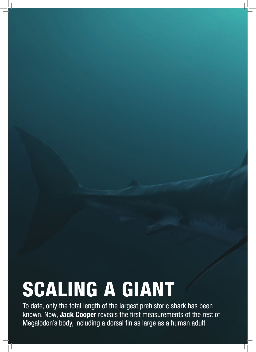# SCALING A GIANT

To date, only the total length of the largest prehistoric shark has been known. Now, **Jack Cooper** reveals the first measurements of the rest of Megalodon's body, including a dorsal fin as large as a human adult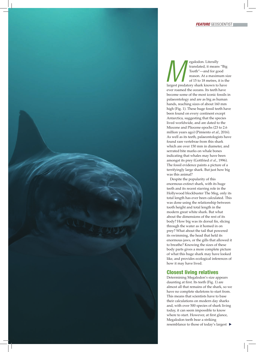**Megalodon.** Literally<br>
translated, it means "Big<br>
Tooth"—and for good<br>
reason. At a maximum si<br>
of 15 to 18 metres, it is th<br>
largest predatory shark known to have translated, it means "Big Tooth"—and for good reason. At a maximum size of 15 to 18 metres, it is the ever roamed the oceans. Its teeth have become some of the most iconic fossils in palaeontology and are as big as human hands, reaching sizes of about 160 mm high (Fig. 1). These huge fossil teeth have been found on every continent except Antarctica, suggesting that the species lived worldwide, and are dated to the Miocene and Pliocene epochs (23 to 2.6 million years ago) (Pimiento et al., 2016). As well as its teeth, palaeontologists have found rare vertebrae from this shark which are over 150 mm in diameter, and serrated bite marks on whale bones indicating that whales may have been amongst its prey (Gottfried *et al*., 1996). The fossil evidence paints a picture of a terrifyingly large shark. But just how big was this animal?

Despite the popularity of this enormous extinct shark, with its huge teeth and its recent starring role in the Hollywood blockbuster The Meg, only its total length has ever been calculated. This was done using the relationship between tooth height and total length in the modern great white shark. But what about the dimensions of the rest of its body? How big was its dorsal fin, slicing through the water as it homed in on prey? What about the tail that powered its swimming, the head that held its enormous jaws, or the gills that allowed it to breathe? Knowing the sizes of these body parts gives a more complete picture of what this huge shark may have looked like, and provides ecological inferences of how it may have lived.

# Closest living relatives

10 NOVEMBER 2020 | WWW.GEOLSOC.ORG.UK/GEOSCIENTIST WWW.GEOLSOC.ORG.UK/GEOSCIENTIST | NOVEMBER 2020 | 11

Determining Megalodon's size appears daunting at first. Its teeth (Fig. 1) are almost all that remains of the shark, so we have no complete skeletons to start from. This means that scientists have to base their calculations on modern day sharks and, with over 500 species of shark living today, it can seem impossible to know where to start. However, at first glance, Megalodon teeth bear a striking resemblance to those of today's largest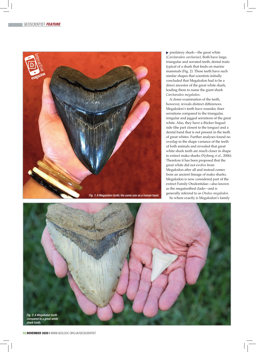

predatory shark—the great white (*Carcharodon carcharias*). Both have large, triangular and serrated teeth; dental traits typical of a shark that feeds on marine mammals (Fig. 2). These teeth have such similar shapes that scientists initially concluded that Megalodon had to be a direct ancestor of the great white shark, leading them to name the giant shark *Carcharodon megalodon*.

A closer examination of the teeth, however, reveals distinct differences. Megalodon's teeth have rounder, finer serrations compared to the triangular, irregular and jagged serrations of the great white. Also, they have a thicker lingual side (the part closest to the tongue) and a dental band that is not present in the teeth of great whites. Further analyses found no overlap in the shape variance of the teeth of both animals and revealed that great white shark teeth are much closer in shape to extinct mako sharks (Nyberg *et al*., 2006). Therefore it has been proposed that the great white did not evolve from Megalodon after all and instead comes from an ancient lineage of mako sharks. Megalodon is now considered part of the extinct Family Otodontidae—also known as the megatoothed clade—and is generally referred to as *Otodus megalodon*. So where exactly is Megalodon's family

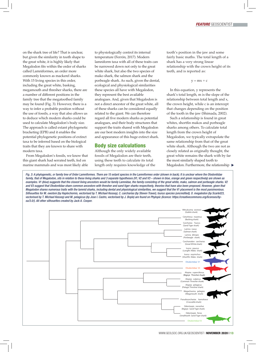on the shark tree of life? That is unclear, but given the similarity in tooth shape to the great white, it is highly likely that Megalodon fits within the order of sharks called Lamniformes, an order more commonly known as mackerel sharks. With 15 living species in this order, including the great white, basking, megamouth and thresher sharks, there are a number of different positions in the family tree that the megatoothed family may be found (Fig. 3). However, there is a way to infer a probable position without the use of fossils, a way that also allows us to deduce which modern sharks could be used to calculate Megalodon's body size. The approach is called extant phylogenetic bracketing (EPB) and it enables the potential phylogenetic positions of extinct taxa to be inferred based on the biological traits that they are known to share with modern taxa.

From Megalodon's fossils, we know that this giant shark had serrated teeth, fed on marine mammals and was most likely able to physiologically control its internal temperature (Ferrón, 2017). Modern lamniform taxa with all of these traits can be narrowed down not only to the great white shark, but also the two species of mako shark, the salmon shark and the porbeagle shark. As such, given the dental, ecological and physiological similarities these species all have with Megalodon, they represent the best available analogues. And, given that Megalodon is not a direct ancestor of the great white, all of these sharks can be considered equally related to the giant. We can therefore regard all five modern sharks as potential analogues, and their body structures that support the traits shared with Megalodon are our best modern insights into the size and appearance of this huge extinct shark.

# Body size calculations

Although the only widely available fossils of Megalodon are their teeth, using these teeth to calculate its total length only requires knowledge of the tooth's position in the jaw and some fairly basic maths. The total length of a shark has a very strong linear relationship with the crown height of its teeth, and is reported as:

#### $y = mx + c$

In this equation, y represents the shark's total length, m is the slope of the relationship between total length and x, the crown height, while c is an intercept that changes depending on the position of the tooth in the jaw (Shimada, 2002).

Such a relationship is found in great whites, shortfin makos and porbeagle sharks among others. To calculate total length from the crown height of Megalodon, we typically extrapolate the same relationship from that of the great white shark. Although the two are not as closely related as originally thought, the great white remains the shark with by far the most similarly shaped tooth to Megalodon. Furthermore, the relationship  $\blacktriangleright$ 

family, that of Megalodon, sits in relation to these living sharks and 3 separate hypotheses (V1, V2 and V3 – shown in blue, orange and green respectively) are shown as examples. V1 (blue) suggests that the closest living ancestors would be family Lamnidae, the family consisting of the great white, mako, salmon and porbeagle sharks. V2 and V3 suggest that Otodontidae share common ancestors with thresher and sand tiger sharks respectively, theories that have also been proposed. However, given that Megalodon shares numerous traits with the lamnid sharks, including dental and physiological similarities, we suggest that the V1 placement is the most parsimonious. Silhouettes for M. owstoni (by Haplochornis, vectorised by T. Michael Kessey), C. carcharias (by Steven Traver), Isurus species (uncredited), O. megalodon (by Scarlet23, vectorised by T. Michael Kessey) and M. pelagicus (by Jose I. Castro, vectorised by J. Boyle) are found on Phylopic (licence: https://creativecommons.org/licenses/bysa/3.0/). All other silhouettes created by Jack A. Cooper.

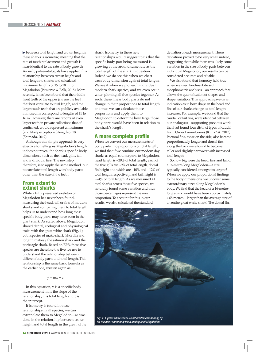between total length and crown height in these sharks is isometric, meaning that the rate of tooth replacement and growth is near-identical to the rate of body growth. As such, palaeontologists have applied this relationship between crown height and total length to sharks and calculated maximum lengths of 15 to 18 m for Megalodon (Pimiento & Balk, 2015). More recently, it has been found that the middle front teeth of the upper jaw are the teeth that best correlate to total length, and the largest such teeth that are publicly available in museums correspond to lengths of 15 to 16 m. However, there are reports of even larger teeth in private collections that, if confirmed, would represent a maximum (and likely exceptional) length of 18 m (Shimada, 2019).

Although this simple approach is very effective for telling us Megalodon's length, it does not reveal the shark's specific body dimensions, such as the head, gills, tail and individual fins. The next step, therefore, is to apply the same method, but to correlate total length with body parts other than the size of the teeth.

### From extant to extinct sharks

While a fully preserved skeleton of Megalodon has never been found, measuring the head, tail or fins of modern sharks and comparing them to total length helps us to understand how long these specific body parts may have been in the giant shark. As stated above, Megalodon shared dental, ecological and physiological traits with the great white shark (Fig. 4), both species of mako shark (shortfin and longfin makos), the salmon shark and the porbeagle shark. Based on EPB, these five species are therefore the five we use to understand the relationship between different body parts and total length. This relationship is the same basic formula as the earlier one, written again as:

 $y = mx + c$ 

In this equation, y is a specific body measurement, m is the slope of the relationship, x is total length and c is the intercept.

If isometry is found in these relationships in all species, we can extrapolate them to Megalodon—as was done in the relationship between crown height and total length in the great white shark. Isometry in these new relationships would suggest to us that the specific body part being measured is growing at the around same rate as the total length of the shark in question. Indeed we do see this when we chart each body dimension against total length. We see it when we plot each individual modern shark species, and we even see it when plotting all five species together. As such, these linear body parts do not change in their proportions to total length and thus we can calculate those proportions and apply them to Megalodon to determine how large those body parts would have been in relation to the shark's length.

## A more complete profile

When we convert our measurements of body parts into proportions of total length, we find that if we combine our modern day sharks as equal counterparts to Megalodon, head length is ~29% of total length, each of the five gills are ~9% of total length, dorsal fin height and width are ~10% and ~12% of total length respectively, and tail height is ~24% of total length. As we measured 41 total sharks across those five species, we naturally found some variation and thus those percentages represent the mean proportion. To account for this in our results, we also calculated the standard

deviation of each measurement. These deviations proved to be very small indeed, suggesting that while there was likely some variation in the size of body parts between individual Megalodon, our results can be considered accurate and reliable.

We also found that isometry held true when we used landmark-based morphometric analyses—an approach that allows the quantification of shapes and shape variation. This approach gave us an indication as to how shape in the head and fins of our sharks change as total length increases. For example, we found that the caudal, or tail fins, were identical between our analogues—supporting previous work that had found four distinct types of caudal fin in Order Lamniformes (Kim *et al*., 2013). Pectoral fins, those on the side, also became proportionately longer and dorsal fins along the back were found to become taller and slightly narrower with increased total length.

So how big were the head, fins and tail of a 16-metre-long Megalodon—a size typically considered amongst its largest? When we apply our proportional findings to the body dimensions, we uncover some extraordinary sizes along Megalodon's body. We find that the head of a 16-metrelong shark would have been approximately 4.65 metres—larger than the average size of an entire great white shark! The dorsal fin,